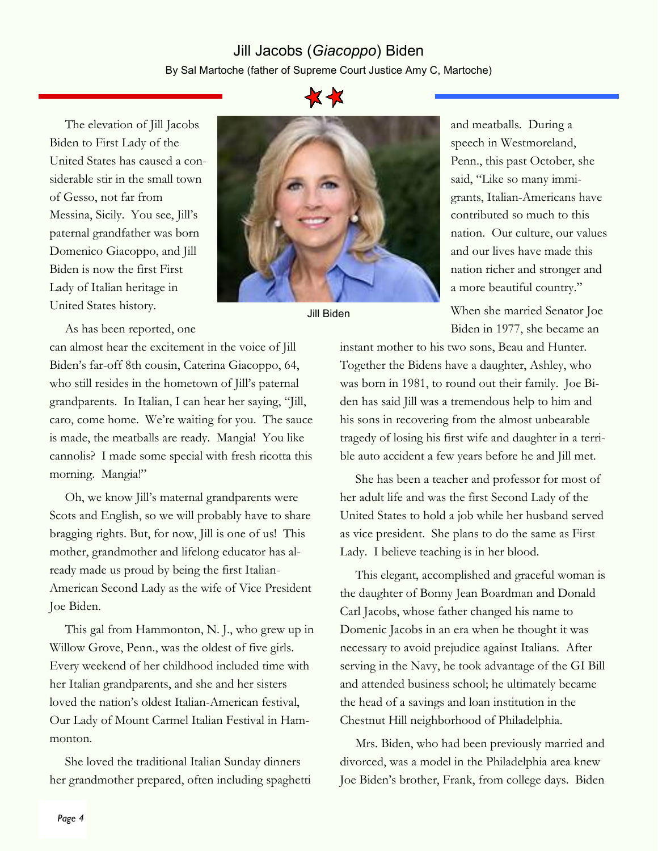## Jill Jacobs (Giacoppo) Biden By Sal Martoche (father of Supreme Court Justice Amy C, Martoche)

The elevation of Jill Jacobs Biden to First Lady of the United States has caused a considerable stir in the small town of Gesso, not far from Messina, Sicily. You see, Jill's paternal grandfather was born Domenico Giacoppo, and Jill Biden is now the first First Lady of Italian heritage in United States history.

As has been reported, one

can almost hear the excitement in the voice of Jill Biden's far-off 8th cousin, Caterina Giacoppo, 64, who still resides in the hometown of Jill's paternal grandparents. In Italian, I can hear her saying, "Jill, caro, come home. We're waiting for you. The sauce is made, the meatballs are ready. Mangia! You like cannolis? I made some special with fresh ricotta this morning. Mangia!"

Oh, we know Jill's maternal grandparents were Scots and English, so we will probably have to share bragging rights. But, for now, Jill is one of us! This mother, grandmother and lifelong educator has already made us proud by being the first Italian-American Second Lady as the wife of Vice President Joe Biden.

This gal from Hammonton, N. J., who grew up in Willow Grove, Penn., was the oldest of five girls. Every weekend of her childhood included time with her Italian grandparents, and she and her sisters loved the nation's oldest Italian-American festival, Our Lady of Mount Carmel Italian Festival in Hammonton.

She loved the traditional Italian Sunday dinners her grandmother prepared, often including spaghetti



Jill Biden

and meatballs. During a speech in Westmoreland, Penn., this past October, she said, "Like so many immigrants, Italian-Americans have contributed so much to this nation. Our culture, our values and our lives have made this nation richer and stronger and a more beautiful country."

When she married Senator Joe Biden in 1977, she became an

instant mother to his two sons, Beau and Hunter. Together the Bidens have a daughter, Ashley, who was born in 1981, to round out their family. Joe Biden has said Jill was a tremendous help to him and his sons in recovering from the almost unbearable tragedy of losing his first wife and daughter in a terrible auto accident a few years before he and Jill met.

She has been a teacher and professor for most of her adult life and was the first Second Lady of the United States to hold a job while her husband served as vice president. She plans to do the same as First Lady. I believe teaching is in her blood.

This elegant, accomplished and graceful woman is the daughter of Bonny Jean Boardman and Donald Carl Jacobs, whose father changed his name to Domenic Jacobs in an era when he thought it was necessary to avoid prejudice against Italians. After serving in the Navy, he took advantage of the GI Bill and attended business school; he ultimately became the head of a savings and loan institution in the Chestnut Hill neighborhood of Philadelphia.

Mrs. Biden, who had been previously married and divorced, was a model in the Philadelphia area knew Joe Biden's brother, Frank, from college days. Biden